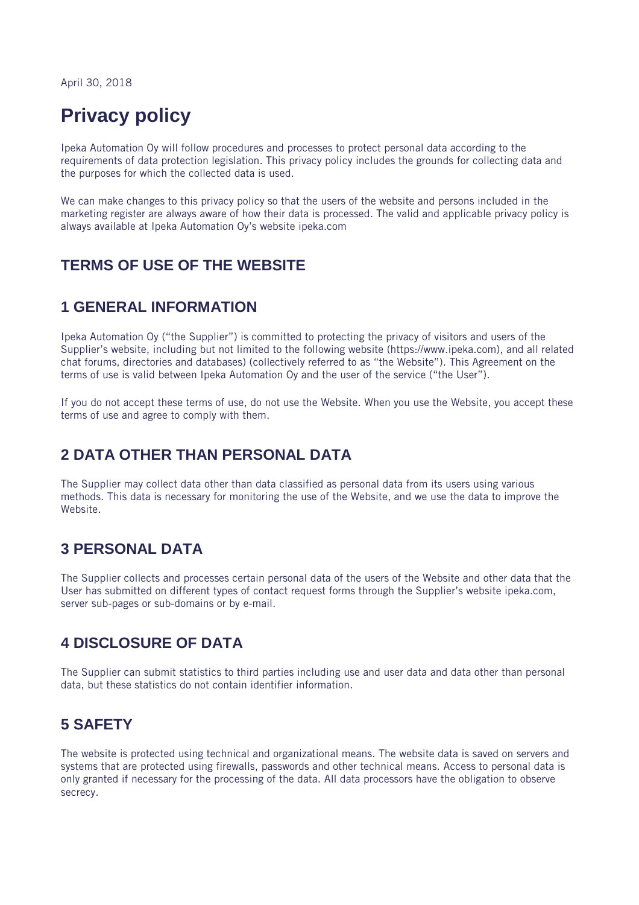April 30, 2018

# Privacy policy

Ipeka Automation Oy will follow procedures and processes to protect personal data according to the requirements of data protection legislation. This privacy policy includes the grounds for collecting data and the purposes for which the collected data is used.

We can make changes to this privacy policy so that the users of the website and persons included in the marketing register are always aware of how their data is processed. The valid and applicable privacy policy is always available at Ipeka Automation Oy's website ipeka.com

#### TERMS OF USE OF THE WEBSITE

#### 1 GENERAL INFORMATION

Ipeka Automation Oy ("the Supplier") is committed to protecting the privacy of visitors and users of the Supplier's website, including but not limited to the following website (https://www.ipeka.com), and all related chat forums, directories and databases) (collectively referred to as "the Website"). This Agreement on the terms of use is valid between Ipeka Automation Oy and the user of the service ("the User").

If you do not accept these terms of use, do not use the Website. When you use the Website, you accept these terms of use and agree to comply with them.

### 2 DATA OTHER THAN PERSONAL DATA

The Supplier may collect data other than data classified as personal data from its users using various methods. This data is necessary for monitoring the use of the Website, and we use the data to improve the Website.

### 3 PERSONAL DATA

The Supplier collects and processes certain personal data of the users of the Website and other data that the User has submitted on different types of contact request forms through the Supplier's website ipeka.com, server sub-pages or sub-domains or by e-mail.

# 4 DISCLOSURE OF DATA

The Supplier can submit statistics to third parties including use and user data and data other than personal data, but these statistics do not contain identifier information.

### 5 SAFETY

The website is protected using technical and organizational means. The website data is saved on servers and systems that are protected using firewalls, passwords and other technical means. Access to personal data is only granted if necessary for the processing of the data. All data processors have the obligation to observe secrecy.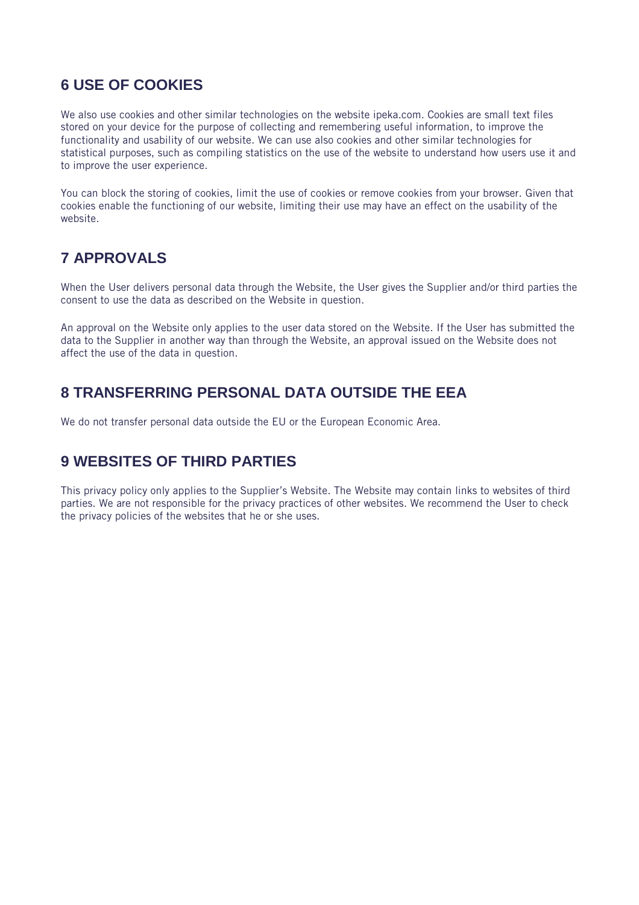# 6 USE OF COOKIES

We also use cookies and other similar technologies on the website ipeka.com. Cookies are small text files stored on your device for the purpose of collecting and remembering useful information, to improve the functionality and usability of our website. We can use also cookies and other similar technologies for statistical purposes, such as compiling statistics on the use of the website to understand how users use it and to improve the user experience.

You can block the storing of cookies, limit the use of cookies or remove cookies from your browser. Given that cookies enable the functioning of our website, limiting their use may have an effect on the usability of the website.

# 7 APPROVALS

When the User delivers personal data through the Website, the User gives the Supplier and/or third parties the consent to use the data as described on the Website in question.

An approval on the Website only applies to the user data stored on the Website. If the User has submitted the data to the Supplier in another way than through the Website, an approval issued on the Website does not affect the use of the data in question.

## 8 TRANSFERRING PERSONAL DATA OUTSIDE THE EEA

We do not transfer personal data outside the EU or the European Economic Area.

# 9 WEBSITES OF THIRD PARTIES

This privacy policy only applies to the Supplier's Website. The Website may contain links to websites of third parties. We are not responsible for the privacy practices of other websites. We recommend the User to check the privacy policies of the websites that he or she uses.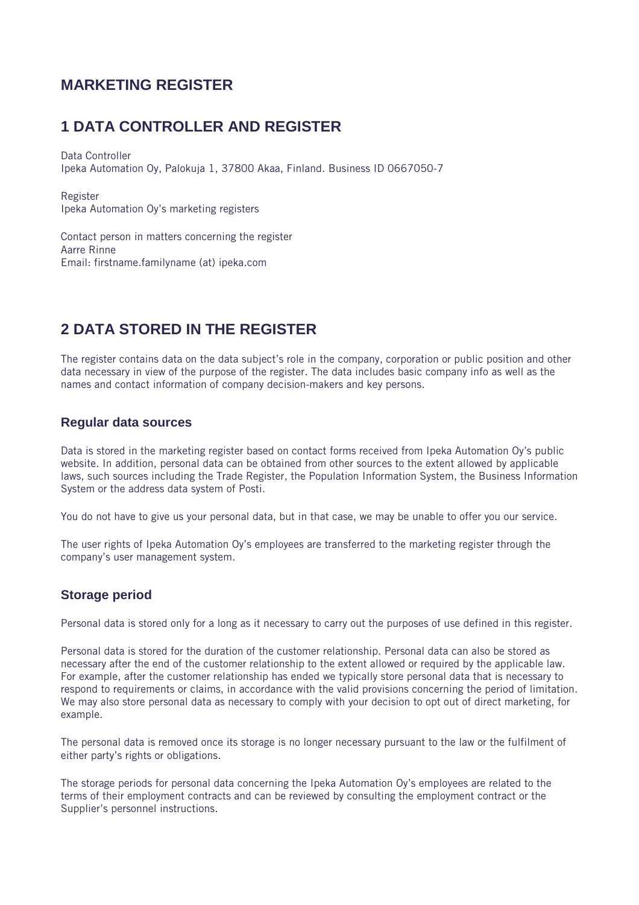### MARKETING REGISTER

### 1 DATA CONTROLLER AND REGISTER

Data Controller Ipeka Automation Oy, Palokuja 1, 37800 Akaa, Finland. Business ID 0667050-7

Register Ipeka Automation Oy's marketing registers

Contact person in matters concerning the register Aarre Rinne Email: firstname.familyname (at) ipeka.com

# 2 DATA STORED IN THE REGISTER

The register contains data on the data subject's role in the company, corporation or public position and other data necessary in view of the purpose of the register. The data includes basic company info as well as the names and contact information of company decision-makers and key persons.

#### Regular data sources

Data is stored in the marketing register based on contact forms received from Ipeka Automation Oy's public website. In addition, personal data can be obtained from other sources to the extent allowed by applicable laws, such sources including the Trade Register, the Population Information System, the Business Information System or the address data system of Posti.

You do not have to give us your personal data, but in that case, we may be unable to offer you our service.

The user rights of Ipeka Automation Oy's employees are transferred to the marketing register through the company's user management system.

#### Storage period

Personal data is stored only for a long as it necessary to carry out the purposes of use defined in this register.

Personal data is stored for the duration of the customer relationship. Personal data can also be stored as necessary after the end of the customer relationship to the extent allowed or required by the applicable law. For example, after the customer relationship has ended we typically store personal data that is necessary to respond to requirements or claims, in accordance with the valid provisions concerning the period of limitation. We may also store personal data as necessary to comply with your decision to opt out of direct marketing, for example.

The personal data is removed once its storage is no longer necessary pursuant to the law or the fulfilment of either party's rights or obligations.

The storage periods for personal data concerning the Ipeka Automation Oy's employees are related to the terms of their employment contracts and can be reviewed by consulting the employment contract or the Supplier's personnel instructions.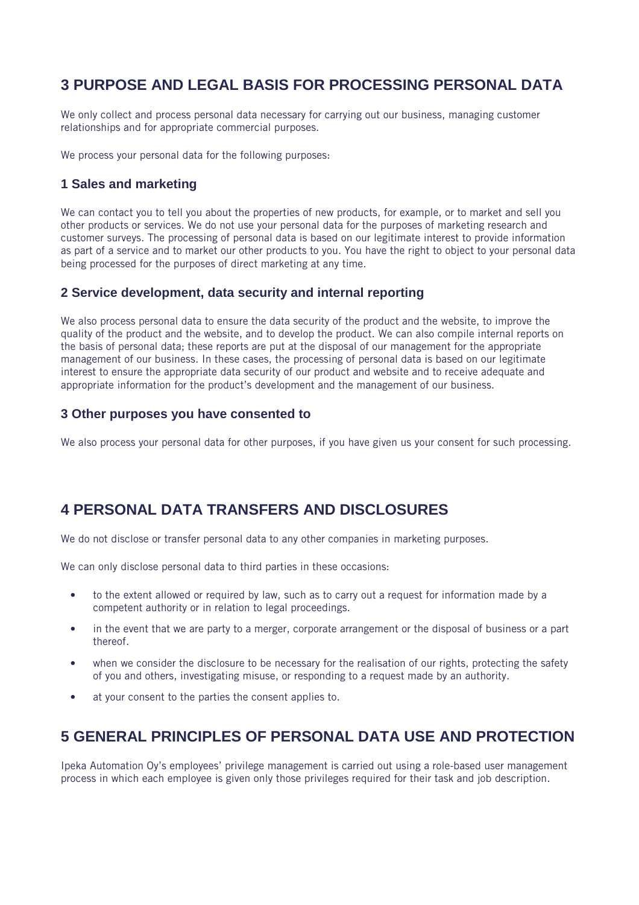# 3 PURPOSE AND LEGAL BASIS FOR PROCESSING PERSONAL DATA

We only collect and process personal data necessary for carrying out our business, managing customer relationships and for appropriate commercial purposes.

We process your personal data for the following purposes:

#### 1 Sales and marketing

We can contact you to tell you about the properties of new products, for example, or to market and sell you other products or services. We do not use your personal data for the purposes of marketing research and customer surveys. The processing of personal data is based on our legitimate interest to provide information as part of a service and to market our other products to you. You have the right to object to your personal data being processed for the purposes of direct marketing at any time.

#### 2 Service development, data security and internal reporting

We also process personal data to ensure the data security of the product and the website, to improve the quality of the product and the website, and to develop the product. We can also compile internal reports on the basis of personal data; these reports are put at the disposal of our management for the appropriate management of our business. In these cases, the processing of personal data is based on our legitimate interest to ensure the appropriate data security of our product and website and to receive adequate and appropriate information for the product's development and the management of our business.

#### 3 Other purposes you have consented to

We also process your personal data for other purposes, if you have given us your consent for such processing.

#### 4 PERSONAL DATA TRANSFERS AND DISCLOSURES

We do not disclose or transfer personal data to any other companies in marketing purposes.

We can only disclose personal data to third parties in these occasions:

- to the extent allowed or required by law, such as to carry out a request for information made by a competent authority or in relation to legal proceedings.
- in the event that we are party to a merger, corporate arrangement or the disposal of business or a part thereof.
- when we consider the disclosure to be necessary for the realisation of our rights, protecting the safety of you and others, investigating misuse, or responding to a request made by an authority.
- at your consent to the parties the consent applies to.

#### 5 GENERAL PRINCIPLES OF PERSONAL DATA USE AND PROTECTION

Ipeka Automation Oy's employees' privilege management is carried out using a role-based user management process in which each employee is given only those privileges required for their task and job description.